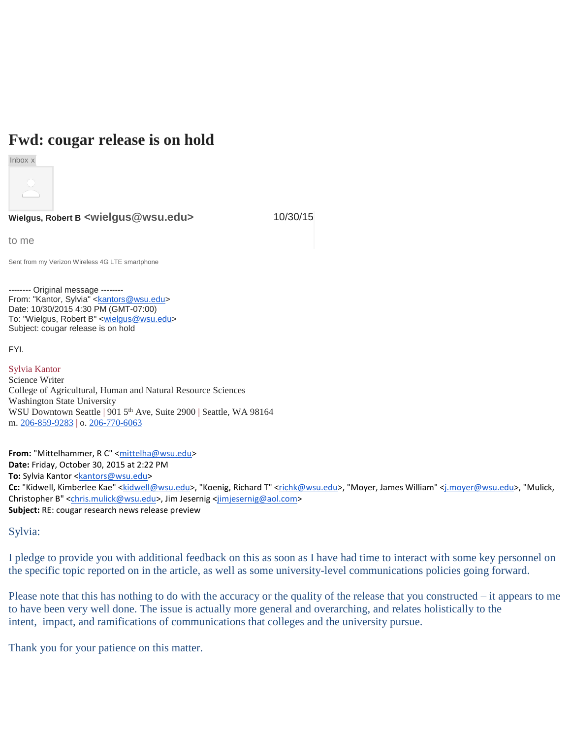## **Fwd: cougar release is on hold**



**Wielgus, Robert B <wielgus@wsu.edu>** 10/30/15

to me

Sent from my Verizon Wireless 4G LTE smartphone

-------- Original message -------- From: "Kantor, Sylvia" [<kantors@wsu.edu>](mailto:kantors@wsu.edu) Date: 10/30/2015 4:30 PM (GMT-07:00) To: "Wielgus, Robert B" <**wielgus@wsu.edu>** Subject: cougar release is on hold

FYI.

Sylvia Kantor Science Writer College of Agricultural, Human and Natural Resource Sciences Washington State University WSU Downtown Seattle | 901 5<sup>th</sup> Ave, Suite 2900 | Seattle, WA 98164 m. [206-859-9283](tel:(206)%20859-9283) | o. [206-770-6063](tel:(206)%20770-6063)

**From:** "Mittelhammer, R C" [<mittelha@wsu.edu>](mailto:mittelha@wsu.edu) **Date:** Friday, October 30, 2015 at 2:22 PM To: Sylvia Kantor [<kantors@wsu.edu>](mailto:kantors@wsu.edu) Cc: "Kidwell, Kimberlee Kae" [<kidwell@wsu.edu>](mailto:kidwell@wsu.edu), "Koenig, Richard T" [<richk@wsu.edu>](mailto:richk@wsu.edu), "Moyer, James William" [<j.moyer@wsu.edu>](mailto:j.moyer@wsu.edu), "Mulick, Christopher B" [<chris.mulick@wsu.edu>](mailto:chris.mulick@wsu.edu), Jim Jesernig [<jimjesernig@aol.com>](mailto:jimjesernig@aol.com) **Subject:** RE: cougar research news release preview

## Sylvia:

I pledge to provide you with additional feedback on this as soon as I have had time to interact with some key personnel on the specific topic reported on in the article, as well as some university-level communications policies going forward.

Please note that this has nothing to do with the accuracy or the quality of the release that you constructed – it appears to me to have been very well done. The issue is actually more general and overarching, and relates holistically to the intent, impact, and ramifications of communications that colleges and the university pursue.

Thank you for your patience on this matter.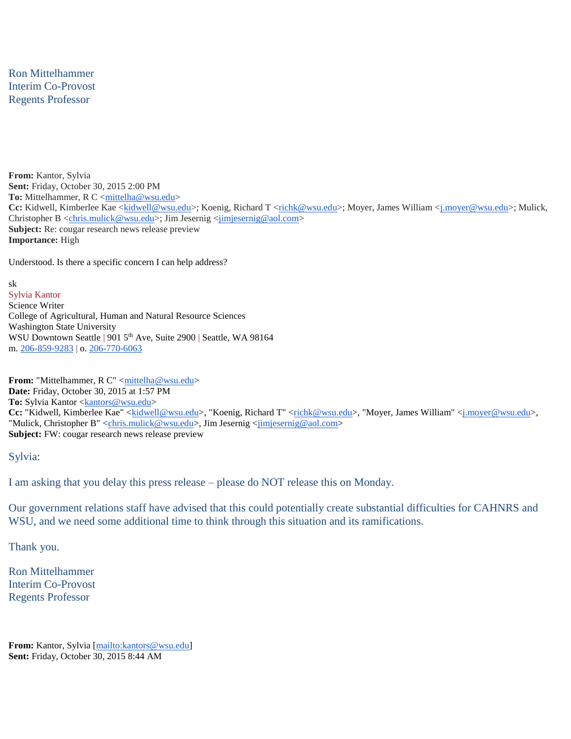Ron Mittelhammer Interim Co-Provost Regents Professor

**From:** Kantor, Sylvia **Sent:** Friday, October 30, 2015 2:00 PM To: Mittelhammer, R C [<mittelha@wsu.edu>](mailto:mittelha@wsu.edu) Cc: Kidwell, Kimberlee Kae [<kidwell@wsu.edu>](mailto:kidwell@wsu.edu); Koenig, Richard T [<richk@wsu.edu>](mailto:richk@wsu.edu); Moyer, James William [<j.moyer@wsu.edu>](mailto:j.moyer@wsu.edu); Mulick, Christopher B [<chris.mulick@wsu.edu>](mailto:chris.mulick@wsu.edu); Jim Jesernig [<jimjesernig@aol.com>](mailto:jimjesernig@aol.com) **Subject:** Re: cougar research news release preview **Importance:** High

Understood. Is there a specific concern I can help address?

sk Sylvia Kantor Science Writer College of Agricultural, Human and Natural Resource Sciences Washington State University WSU Downtown Seattle | 901 5<sup>th</sup> Ave, Suite 2900 | Seattle, WA 98164 m. [206-859-9283](tel:(206)%20859-9283) | o. [206-770-6063](tel:(206)%20770-6063)

From: "Mittelhammer, R C" [<mittelha@wsu.edu>](mailto:mittelha@wsu.edu) **Date:** Friday, October 30, 2015 at 1:57 PM **To:** Sylvia Kantor [<kantors@wsu.edu>](mailto:kantors@wsu.edu) Cc: "Kidwell, Kimberlee Kae" [<kidwell@wsu.edu>](mailto:kidwell@wsu.edu), "Koenig, Richard T" [<richk@wsu.edu>](mailto:richk@wsu.edu), "Moyer, James William" <j\_moyer@wsu.edu>, "Mulick, Christopher B" [<chris.mulick@wsu.edu>](mailto:chris.mulick@wsu.edu), Jim Jesernig [<jimjesernig@aol.com>](mailto:jimjesernig@aol.com) **Subject:** FW: cougar research news release preview

## Sylvia:

I am asking that you delay this press release – please do NOT release this on Monday.

Our government relations staff have advised that this could potentially create substantial difficulties for CAHNRS and WSU, and we need some additional time to think through this situation and its ramifications.

Thank you.

Ron Mittelhammer Interim Co-Provost Regents Professor

From: Kantor, Sylvia [\[mailto:kantors@wsu.edu\]](mailto:kantors@wsu.edu) **Sent:** Friday, October 30, 2015 8:44 AM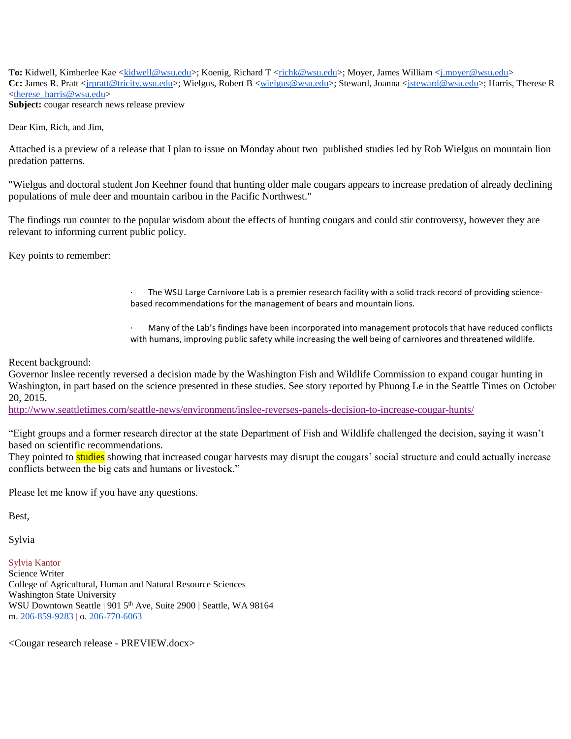To: Kidwell, Kimberlee Kae [<kidwell@wsu.edu>](mailto:kidwell@wsu.edu); Koenig, Richard T [<richk@wsu.edu>](mailto:richk@wsu.edu); Moyer, James William [<j.moyer@wsu.edu>](mailto:j.moyer@wsu.edu) **Cc:** James R. Pratt [<jrpratt@tricity.wsu.edu>](mailto:jrpratt@tricity.wsu.edu); Wielgus, Robert B [<wielgus@wsu.edu>](mailto:wielgus@wsu.edu); Steward, Joanna [<jsteward@wsu.edu>](mailto:jsteward@wsu.edu); Harris, Therese R  $\langle$  therese harris@wsu.edu> **Subject:** cougar research news release preview

Dear Kim, Rich, and Jim,

Attached is a preview of a release that I plan to issue on Monday about two published studies led by Rob Wielgus on mountain lion predation patterns.

"Wielgus and doctoral student Jon Keehner found that hunting older male cougars appears to increase predation of already declining populations of mule deer and mountain caribou in the Pacific Northwest."

The findings run counter to the popular wisdom about the effects of hunting cougars and could stir controversy, however they are relevant to informing current public policy.

Key points to remember:

The WSU Large Carnivore Lab is a premier research facility with a solid track record of providing sciencebased recommendations for the management of bears and mountain lions.

Many of the Lab's findings have been incorporated into management protocols that have reduced conflicts with humans, improving public safety while increasing the well being of carnivores and threatened wildlife.

Recent background:

Governor Inslee recently reversed a decision made by the Washington Fish and Wildlife Commission to expand cougar hunting in Washington, in part based on the science presented in these studies. See story reported by Phuong Le in the Seattle Times on October 20, 2015.

[http://www.seattletimes.com/seattle-news/environment/inslee-reverses-panels-decision-to-increase-cougar-hunts/](https://urldefense.proofpoint.com/v1/url?u=http://www.seattletimes.com/seattle-news/environment/inslee-reverses-panels-decision-to-increase-cougar-hunts/&k=EWEYHnIvm0nsSxnW5y9VIw%3D%3D%0A&r=cr%2Be27DQA85nAjy6oeM9kvuZcq75qHINKMcAS4eCfEc%3D%0A&m=b9hPY0BUOfQE6kiu1dF%2B2AtSxi4z11DqJ0yzZySK6Cs%3D%0A&s=f4fa6c7382efbd84366b8ddd97b6ec658f4d7fe823ed76d46f1cef9305b79ea5)

"Eight groups and a former research director at the state Department of Fish and Wildlife challenged the decision, saying it wasn't based on scientific recommendations.

They pointed to **studies** showing that increased cougar harvests may disrupt the cougars' social structure and could actually increase conflicts between the big cats and humans or livestock."

Please let me know if you have any questions.

Best,

Sylvia

Sylvia Kantor

Science Writer College of Agricultural, Human and Natural Resource Sciences Washington State University WSU Downtown Seattle | 901 5<sup>th</sup> Ave, Suite 2900 | Seattle, WA 98164 m. [206-859-9283](tel:(206)%20859-9283) | o. [206-770-6063](tel:(206)%20770-6063)

<Cougar research release - PREVIEW.docx>